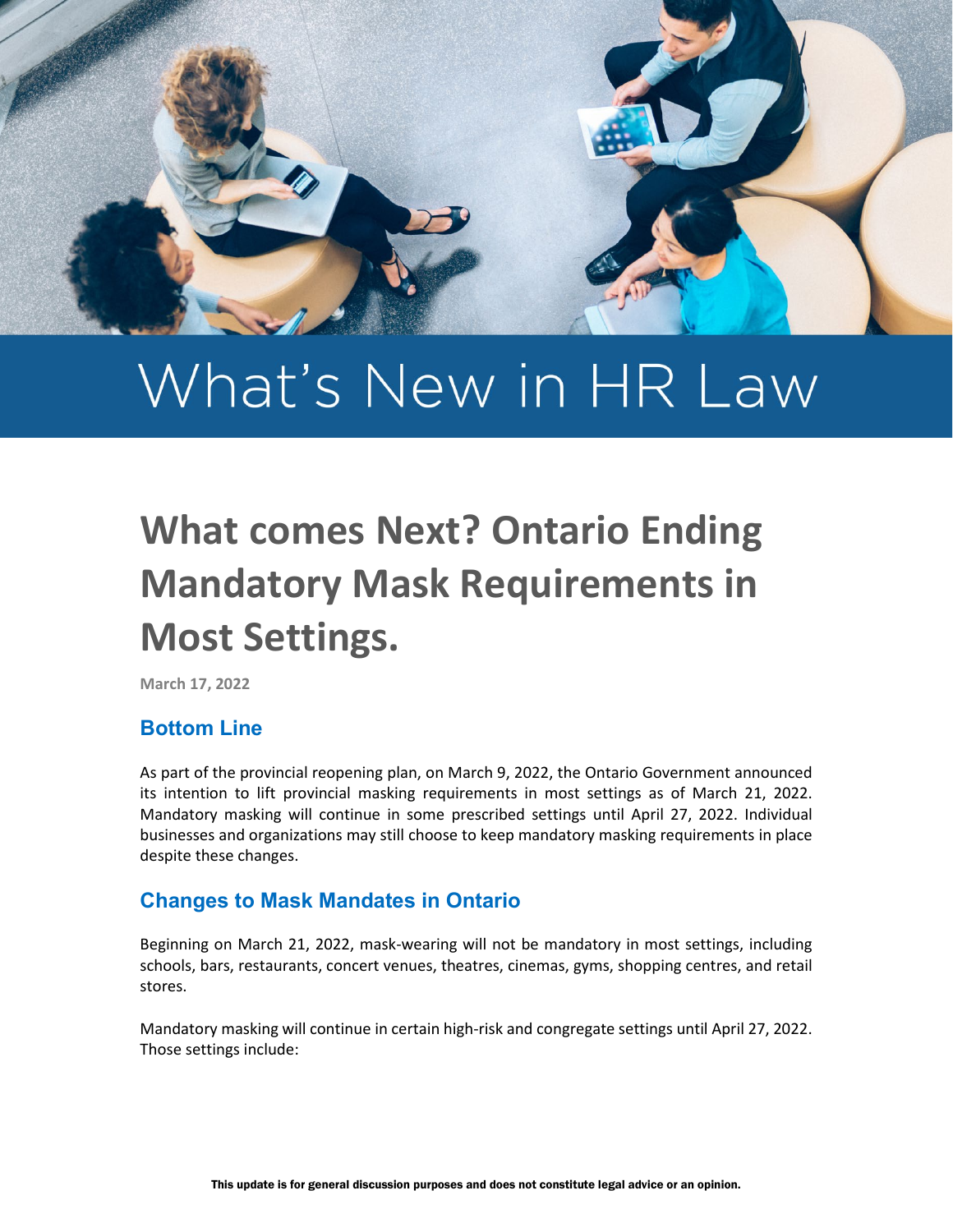

# What's New in HR Law

## **What comes Next? Ontario Ending Mandatory Mask Requirements in Most Settings.**

**March 17, 2022**

### **Bottom Line**

As part of the provincial reopening plan, on March 9, 2022, the Ontario Government announced its intention to lift provincial masking requirements in most settings as of March 21, 2022. Mandatory masking will continue in some prescribed settings until April 27, 2022. Individual businesses and organizations may still choose to keep mandatory masking requirements in place despite these changes.

### **Changes to Mask Mandates in Ontario**

Beginning on March 21, 2022, mask-wearing will not be mandatory in most settings, including schools, bars, restaurants, concert venues, theatres, cinemas, gyms, shopping centres, and retail stores.

Mandatory masking will continue in certain high-risk and congregate settings until April 27, 2022. Those settings include: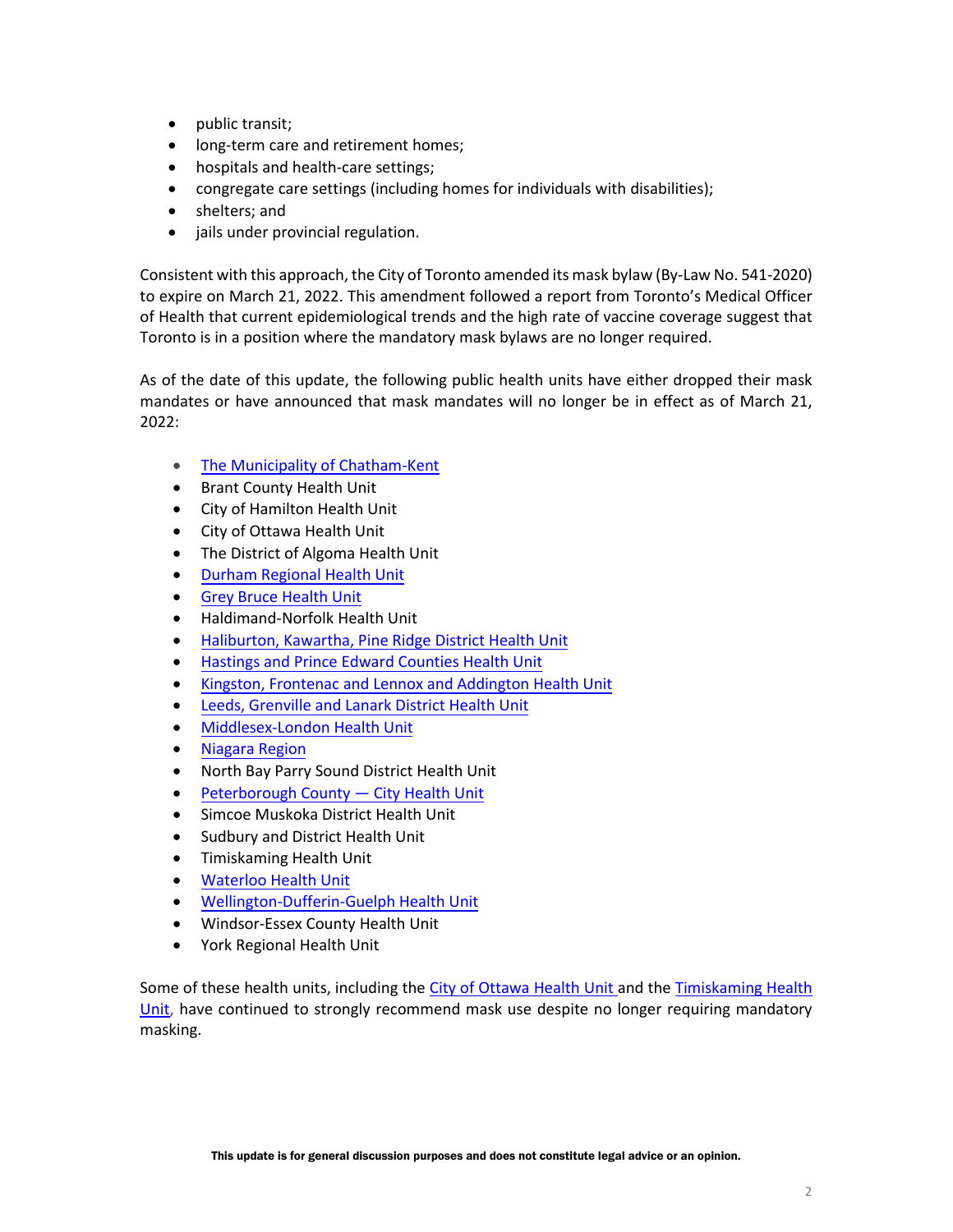- public transit;
- long-term care and retirement homes;
- hospitals and health-care settings;
- congregate care settings (including homes for individuals with disabilities);
- shelters; and
- jails under provincial regulation.

Consistent with this approach, the City of Toronto amended its mask bylaw (By-Law No. 541-2020) to expire on March 21, 2022. This amendment followed a report from Toronto's Medical Officer of Health that current epidemiological trends and the high rate of vaccine coverage suggest that Toronto is in a position where the mandatory mask bylaws are no longer required.

As of the date of this update, the following public health units have either dropped their mask mandates or have announced that mask mandates will no longer be in effect as of March 21, 2022:

- [The Municipality of Chatham-Kent](https://ckphu.com/facecoverings/)
- Brant County Health Unit
- City of Hamilton Health Unit
- City of Ottawa Health Unit
- The District of Algoma Health Unit
- [Durham Regional Health Unit](https://www.durham.ca/en/health-and-wellness/novel-coronavirus-update.aspx)
- Grey [Bruce Health Unit](https://www.publichealthgreybruce.on.ca/About-Us/News-Releases/ArticleID/1006/Local-efforts-position-Grey-Bruce-for-safe-lifting-of-provincial-masking-mandate)
- Haldimand-Norfolk Health Unit
- Haliburton, Kawartha, [Pine Ridge District Health](https://www.hkpr.on.ca/2022/01/11/covid-19-and-schools/) Unit
- [Hastings and Prince Edward Counties Health](https://hpepublichealth.ca/media-release-statement-of-support-from-hpeph-regarding-the-return-to-school/) Unit
- [Kingston, Frontenac and Lennox and Addington Health Unit](https://www.kflaph.ca/Modules/News/index.aspx?newsId=ec4d1cf0-2d9a-4eda-aec4-f15b96913595)
- Leeds, Grenville and [Lanark District Health Unit](https://healthunit.org/living-alongside-covid/)
- [Middlesex-London](https://www.healthunit.com/face-masks) Health Unit
- [Niagara Region](https://niagararegion.ca/health/covid-19/mask-bylaw.aspx)
- North Bay Parry Sound District Health Unit
- [Peterborough County](https://www.peterboroughpublichealth.ca/novel-coronavirus-covid-19/masks-and-personal-protective-equipment-ppe/#:%7E:text=Until%20March%2021%2C%202022%20masks,rooms%2C%20elevators%2C%20and%20lobbies.) City Health Unit
- Simcoe Muskoka District Health Unit
- Sudbury and District Health Unit
- Timiskaming Health Unit
- [Waterloo Health Unit](https://www.regionofwaterloo.ca/en/face-covering-by-law.aspx#When-will-this-by-law-end)
- [Wellington-Dufferin-Guelph Health Unit](https://wdgpublichealth.ca/alerts/local-section-22-masking-orders-and-provincial-masking-requirements-most-settings-will-be)
- Windsor-Essex County Health Unit
- York Regional Health Unit

Some of these health units, including the [City of Ottawa](https://www.ottawapublichealth.ca/en/public-health-topics/novel-coronavirus.aspx?_mid_=32064#March-17-2022-Special-statement-Dr-Brent-Moloughney-Deputy-Medical-Officer-of-Health) Health Unit and the [Timiskaming Health](https://www.timiskaminghu.com/90527/masks)  [Unit,](https://www.timiskaminghu.com/90527/masks) have continued to strongly recommend mask use despite no longer requiring mandatory masking.